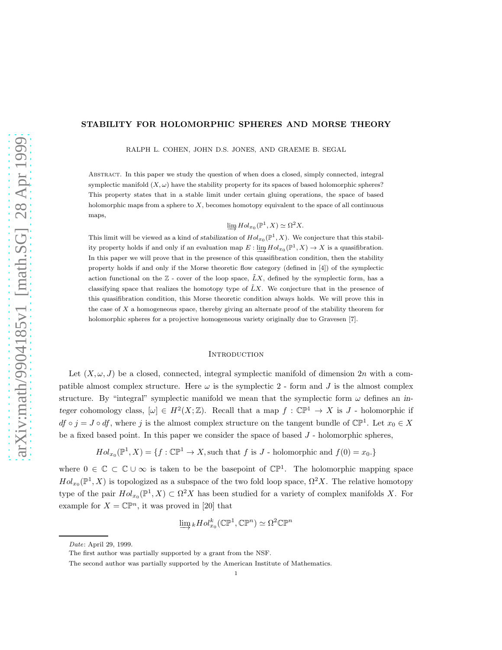# STABILITY FOR HOLOMORPHIC SPHERES AND MORSE THEORY

RALPH L. COHEN, JOHN D.S. JONES, AND GRAEME B. SEGAL

Abstract. In this paper we study the question of when does a closed, simply connected, integral symplectic manifold  $(X, \omega)$  have the stability property for its spaces of based holomorphic spheres? This property states that in a stable limit under certain gluing operations, the space of based holomorphic maps from a sphere to  $X$ , becomes homotopy equivalent to the space of all continuous maps,

 $\underline{\lim} Hol_{x_0}(\mathbb{P}^1, X) \simeq \Omega^2 X.$ 

This limit will be viewed as a kind of stabilization of  $Hol_{x_0}(\mathbb{P}^1, X)$ . We conjecture that this stability property holds if and only if an evaluation map  $E: \varinjlim Hol_{x_0}(\mathbb{P}^1, X) \to X$  is a quasifibration. In this paper we will prove that in the presence of this quasifibration condition, then the stability property holds if and only if the Morse theoretic flow category (defined in [4]) of the symplectic action functional on the  $\mathbb{Z}$  - cover of the loop space,  $\tilde{L}X$ , defined by the symplectic form, has a classifying space that realizes the homotopy type of  $\tilde{L}X$ . We conjecture that in the presence of this quasifibration condition, this Morse theoretic condition always holds. We will prove this in the case of  $X$  a homogeneous space, thereby giving an alternate proof of the stability theorem for holomorphic spheres for a projective homogeneous variety originally due to Gravesen [7].

#### **INTRODUCTION**

Let  $(X, \omega, J)$  be a closed, connected, integral symplectic manifold of dimension 2n with a compatible almost complex structure. Here  $\omega$  is the symplectic 2 - form and J is the almost complex structure. By "integral" symplectic manifold we mean that the symplectic form  $\omega$  defines an integer cohomology class,  $[\omega] \in H^2(X;\mathbb{Z})$ . Recall that a map  $f : \mathbb{CP}^1 \to X$  is J - holomorphic if  $df \circ j = J \circ df$ , where j is the almost complex structure on the tangent bundle of  $\mathbb{CP}^1$ . Let  $x_0 \in X$ be a fixed based point. In this paper we consider the space of based  $J$  - holomorphic spheres,

$$
Hol_{x_0}(\mathbb{P}^1, X) = \{f : \mathbb{CP}^1 \to X, \text{such that } f \text{ is } J \text{ - holomorphic and } f(0) = x_0.\}
$$

where  $0 \in \mathbb{C} \subset \mathbb{C} \cup \infty$  is taken to be the basepoint of  $\mathbb{CP}^1$ . The holomorphic mapping space  $Hol_{x_0}(\mathbb{P}^1, X)$  is topologized as a subspace of the two fold loop space,  $\Omega^2 X$ . The relative homotopy type of the pair  $Hol_{x_0}(\mathbb{P}^1, X) \subset \Omega^2 X$  has been studied for a variety of complex manifolds X. For example for  $X = \mathbb{CP}^n$ , it was proved in [20] that

$$
\varinjlim_k Hol_{x_0}^k(\mathbb{CP}^1, \mathbb{CP}^n) \simeq \Omega^2 \mathbb{CP}^n
$$

Date: April 29, 1999.

The first author was partially supported by a grant from the NSF.

The second author was partially supported by the American Institute of Mathematics.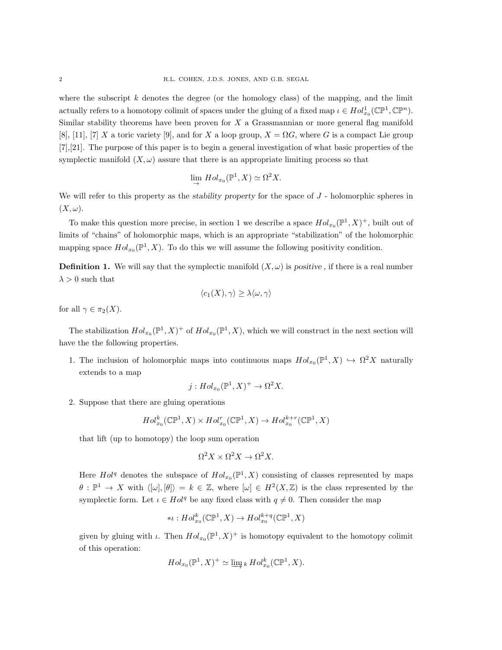where the subscript  $k$  denotes the degree (or the homology class) of the mapping, and the limit actually refers to a homotopy colimit of spaces under the gluing of a fixed map  $\iota \in Hol_{x_0}^1(\mathbb{CP}^1, \mathbb{CP}^n)$ . Similar stability theorems have been proven for  $X$  a Grassmannian or more general flag manifold [8], [11], [7] X a toric variety [9], and for X a loop group,  $X = \Omega G$ , where G is a compact Lie group [7],[21]. The purpose of this paper is to begin a general investigation of what basic properties of the symplectic manifold  $(X, \omega)$  assure that there is an appropriate limiting process so that

$$
\lim_{\to} Hol_{x_0}(\mathbb{P}^1, X) \simeq \Omega^2 X.
$$

We will refer to this property as the *stability property* for the space of  $J$  - holomorphic spheres in  $(X, \omega)$ .

To make this question more precise, in section 1 we describe a space  $Hol_{x_0}(\mathbb{P}^1, X)^+$ , built out of limits of "chains" of holomorphic maps, which is an appropriate "stabilization" of the holomorphic mapping space  $Hol_{x_0}(\mathbb{P}^1, X)$ . To do this we will assume the following positivity condition.

**Definition 1.** We will say that the symplectic manifold  $(X, \omega)$  is positive, if there is a real number  $\lambda > 0$  such that

$$
\langle c_1(X), \gamma \rangle \ge \lambda \langle \omega, \gamma \rangle
$$

for all  $\gamma \in \pi_2(X)$ .

The stabilization  $Hol_{x_0}(\mathbb{P}^1, X)^+$  of  $Hol_{x_0}(\mathbb{P}^1, X)$ , which we will construct in the next section will have the the following properties.

1. The inclusion of holomorphic maps into continuous maps  $Hol_{x_0}(\mathbb{P}^1, X) \hookrightarrow \Omega^2 X$  naturally extends to a map

$$
j: Hol_{x_0}(\mathbb{P}^1, X)^+ \to \Omega^2 X.
$$

2. Suppose that there are gluing operations

$$
Hol^k_{x_0}(\mathbb{CP}^1, X) \times Hol^r_{x_0}(\mathbb{CP}^1, X) \to Hol^{k+r}_{x_0}(\mathbb{CP}^1, X)
$$

that lift (up to homotopy) the loop sum operation

$$
\Omega^2 X \times \Omega^2 X \to \Omega^2 X.
$$

Here  $Hol<sup>q</sup>$  denotes the subspace of  $Hol_{x_0}(\mathbb{P}^1, X)$  consisting of classes represented by maps  $\theta: \mathbb{P}^1 \to X$  with  $\langle[\omega], [\theta]\rangle = k \in \mathbb{Z}$ , where  $[\omega] \in H^2(X, \mathbb{Z})$  is the class represented by the symplectic form. Let  $\iota \in Hol<sup>q</sup>$  be any fixed class with  $q \neq 0$ . Then consider the map

$$
*\iota:Hol_{x_0}^k(\mathbb{C}\mathbb{P}^1,X)\rightarrow Hol_{x_0}^{k+q}(\mathbb{C}\mathbb{P}^1,X)
$$

given by gluing with  $\iota$ . Then  $Hol_{x_0}(\mathbb{P}^1, X)^+$  is homotopy equivalent to the homotopy colimit of this operation:

$$
Hol_{x_0}(\mathbb{P}^1, X)^+ \simeq \varinjlim_k k \, Hol_{x_0}^k(\mathbb{CP}^1, X).
$$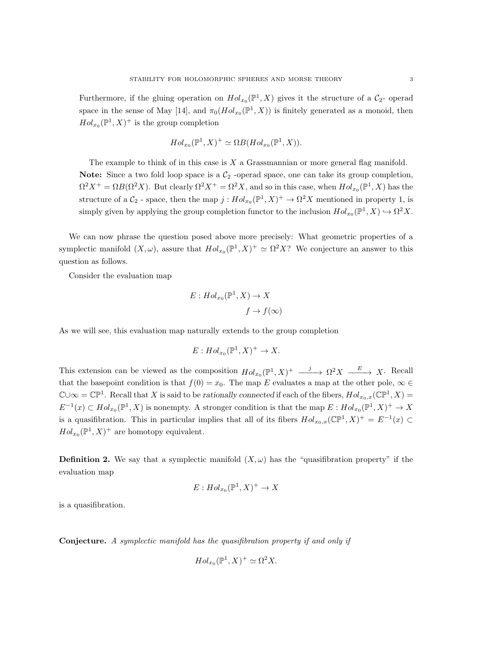Furthermore, if the gluing operation on  $Hol_{x_0}(\mathbb{P}^1, X)$  gives it the structure of a  $\mathcal{C}_2$ - operad space in the sense of May [14], and  $\pi_0(Hol_{x_0}(\mathbb{P}^1, X))$  is finitely generated as a monoid, then  $Hol_{x_0}(\mathbb{P}^1, X)^+$  is the group completion

$$
Hol_{x_0}(\mathbb{P}^1, X)^+ \simeq \Omega B(Hol_{x_0}(\mathbb{P}^1, X)).
$$

The example to think of in this case is  $X$  a Grassmannian or more general flag manifold. Note: Since a two fold loop space is a  $C_2$  -operad space, one can take its group completion,  $\Omega^2 X^+ = \Omega B(\Omega^2 X)$ . But clearly  $\Omega^2 X^+ = \Omega^2 X$ , and so in this case, when  $Hol_{x_0}(\mathbb{P}^1, X)$  has the structure of a  $C_2$  - space, then the map  $j: Hol_{x_0}(\mathbb{P}^1, X)^+ \to \Omega^2 X$  mentioned in property 1, is simply given by applying the group completion functor to the inclusion  $Hol_{x_0}(\mathbb{P}^1, X) \hookrightarrow \Omega^2 X$ .

We can now phrase the question posed above more precisely: What geometric properties of a symplectic manifold  $(X, \omega)$ , assure that  $Hol_{x_0}(\mathbb{P}^1, X)^+ \simeq \Omega^2 X$ ? We conjecture an answer to this question as follows.

Consider the evaluation map

$$
E: Hol_{x_0}(\mathbb{P}^1, X) \to X
$$

$$
f \to f(\infty)
$$

As we will see, this evaluation map naturally extends to the group completion

$$
E: Hol_{x_0}(\mathbb{P}^1, X)^+ \to X.
$$

This extension can be viewed as the composition  $Hol_{x_0}(\mathbb{P}^1, X)^+ \longrightarrow \Omega^2 X \longrightarrow X$ . Recall that the basepoint condition is that  $f(0) = x_0$ . The map E evaluates a map at the other pole,  $\infty \in$  $\mathbb{C}\cup\infty=\mathbb{CP}^1$ . Recall that X is said to be rationally connected if each of the fibers,  $Hol_{x_0,x}(\mathbb{CP}^1, X)=$  $E^{-1}(x) \subset Hol_{x_0}(\mathbb{P}^1, X)$  is nonempty. A stronger condition is that the map  $E: Hol_{x_0}(\mathbb{P}^1, X)^+ \to X$ is a quasifibration. This in particular implies that all of its fibers  $Hol_{x_0,x}(\mathbb{CP}^1, X)^+=E^{-1}(x)\subset$  $Hol_{x_0}(\mathbb{P}^1, X)^+$  are homotopy equivalent.

**Definition 2.** We say that a symplectic manifold  $(X, \omega)$  has the "quasifibration property" if the evaluation map

$$
E: Hol_{x_0}(\mathbb{P}^1, X)^+ \to X
$$

is a quasifibration.

Conjecture. *A symplectic manifold has the quasifibration property if and only if*

$$
Hol_{x_0}(\mathbb{P}^1, X)^+ \simeq \Omega^2 X.
$$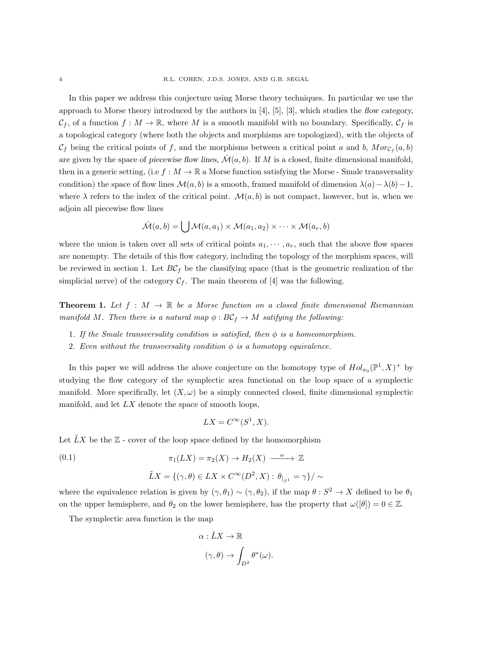In this paper we address this conjecture using Morse theory techniques. In particular we use the approach to Morse theory introduced by the authors in [4], [5], [3], which studies the flow category,  $\mathcal{C}_f$ , of a function  $f : M \to \mathbb{R}$ , where M is a smooth manifold with no boundary. Specifically,  $\mathcal{C}_f$  is a topological category (where both the objects and morphisms are topologized), with the objects of  $\mathcal{C}_f$  being the critical points of f, and the morphisms between a critical point a and b,  $Mor_{\mathcal{C}_f}(a, b)$ are given by the space of piecewise flow lines,  $\mathcal{M}(a, b)$ . If M is a closed, finite dimensional manifold, then in a generic setting, (i.e  $f : M \to \mathbb{R}$  a Morse function satisfying the Morse - Smale transversality condition) the space of flow lines  $\mathcal{M}(a, b)$  is a smooth, framed manifold of dimension  $\lambda(a) - \lambda(b) - 1$ , where  $\lambda$  refers to the index of the critical point.  $\mathcal{M}(a, b)$  is not compact, however, but is, when we adjoin all piecewise flow lines

$$
\bar{\mathcal{M}}(a,b) = \bigcup \mathcal{M}(a,a_1) \times \mathcal{M}(a_1,a_2) \times \cdots \times \mathcal{M}(a_r,b)
$$

where the union is taken over all sets of critical points  $a_1, \dots, a_r$ , such that the above flow spaces are nonempty. The details of this flow category, including the topology of the morphism spaces, will be reviewed in section 1. Let  $BC<sub>f</sub>$  be the classifying space (that is the geometric realization of the simplicial nerve) of the category  $C_f$ . The main theorem of [4] was the following.

**Theorem 1.** Let  $f : M \to \mathbb{R}$  be a Morse function on a closed finite dimensional Riemannian *manifold* M. Then there is a natural map  $\phi$ :  $BC_f \rightarrow M$  satifying the following:

- 1. *If the Smale transversality condition is satisfied, then* φ *is a homeomorphism.*
- 2. *Even without the transversality condition*  $\phi$  *is a homotopy equivalence.*

In this paper we will address the above conjecture on the homotopy type of  $Hol_{x_0}(\mathbb{P}^1, X)^+$  by studying the flow category of the symplectic area functional on the loop space of a symplectic manifold. More specifically, let  $(X, \omega)$  be a simply connected closed, finite dimensional symplectic manifold, and let  $LX$  denote the space of smooth loops,

$$
LX = C^{\infty}(S^1, X).
$$

Let  $LX$  be the  $\mathbb{Z}$  - cover of the loop space defined by the homomorphism

(0.1)  $\pi_1(LX) = \pi_2(X) \rightarrow H_2(X) \xrightarrow{\omega} \mathbb{Z}$  $\tilde{L}X = \{(\gamma, \theta) \in LX \times C^{\infty}(D^2, X) : \theta_{|_{S^1}} = \gamma\}/\sim$ 

where the equivalence relation is given by  $(\gamma, \theta_1) \sim (\gamma, \theta_2)$ , if the map  $\theta : S^2 \to X$  defined to be  $\theta_1$ on the upper hemisphere, and  $\theta_2$  on the lower hemisphere, has the property that  $\omega([\theta]) = 0 \in \mathbb{Z}$ .

The symplectic area function is the map

$$
\alpha : \tilde{L}X \to \mathbb{R}
$$

$$
(\gamma, \theta) \to \int_{D^2} \theta^*(\omega).
$$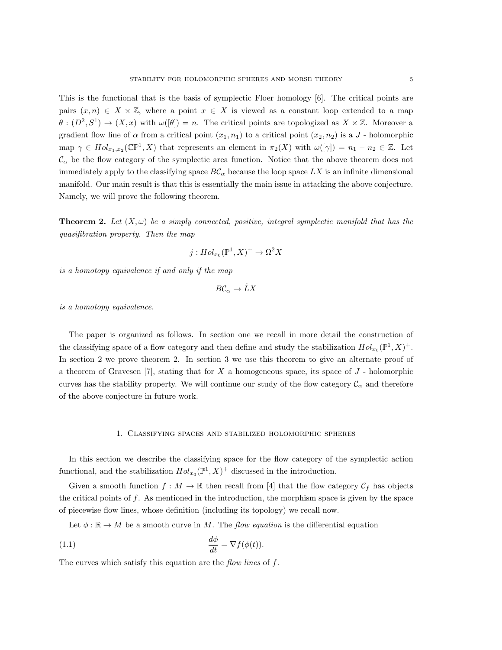This is the functional that is the basis of symplectic Floer homology [6]. The critical points are pairs  $(x, n) \in X \times \mathbb{Z}$ , where a point  $x \in X$  is viewed as a constant loop extended to a map  $\theta: (D^2, S^1) \to (X, x)$  with  $\omega([\theta]) = n$ . The critical points are topologized as  $X \times \mathbb{Z}$ . Moreover a gradient flow line of  $\alpha$  from a critical point  $(x_1, n_1)$  to a critical point  $(x_2, n_2)$  is a J - holomorphic map  $\gamma \in Hol_{x_1,x_2}(\mathbb{C}\mathbb{P}^1, X)$  that represents an element in  $\pi_2(X)$  with  $\omega([\gamma]) = n_1 - n_2 \in \mathbb{Z}$ . Let  $\mathcal{C}_{\alpha}$  be the flow category of the symplectic area function. Notice that the above theorem does not immediately apply to the classifying space  $BC_{\alpha}$  because the loop space LX is an infinite dimensional manifold. Our main result is that this is essentially the main issue in attacking the above conjecture. Namely, we will prove the following theorem.

**Theorem 2.** Let  $(X, \omega)$  be a simply connected, positive, integral symplectic manifold that has the *quasifibration property. Then the map*

$$
j: Hol_{x_0}(\mathbb{P}^1, X)^+ \to \Omega^2 X
$$

*is a homotopy equivalence if and only if the map*

$$
B\mathcal{C}_\alpha \to \tilde{L}X
$$

*is a homotopy equivalence.*

The paper is organized as follows. In section one we recall in more detail the construction of the classifying space of a flow category and then define and study the stabilization  $Hol_{x_0}(\mathbb{P}^1, X)^+$ . In section 2 we prove theorem 2. In section 3 we use this theorem to give an alternate proof of a theorem of Gravesen [7], stating that for  $X$  a homogeneous space, its space of  $J$  - holomorphic curves has the stability property. We will continue our study of the flow category  $\mathcal{C}_{\alpha}$  and therefore of the above conjecture in future work.

### 1. Classifying spaces and stabilized holomorphic spheres

In this section we describe the classifying space for the flow category of the symplectic action functional, and the stabilization  $Hol_{x_0}(\mathbb{P}^1, X)^+$  discussed in the introduction.

Given a smooth function  $f : M \to \mathbb{R}$  then recall from [4] that the flow category  $\mathcal{C}_f$  has objects the critical points of  $f$ . As mentioned in the introduction, the morphism space is given by the space of piecewise flow lines, whose definition (including its topology) we recall now.

Let  $\phi : \mathbb{R} \to M$  be a smooth curve in M. The *flow equation* is the differential equation

(1.1) 
$$
\frac{d\phi}{dt} = \nabla f(\phi(t)).
$$

The curves which satisfy this equation are the *flow lines* of f.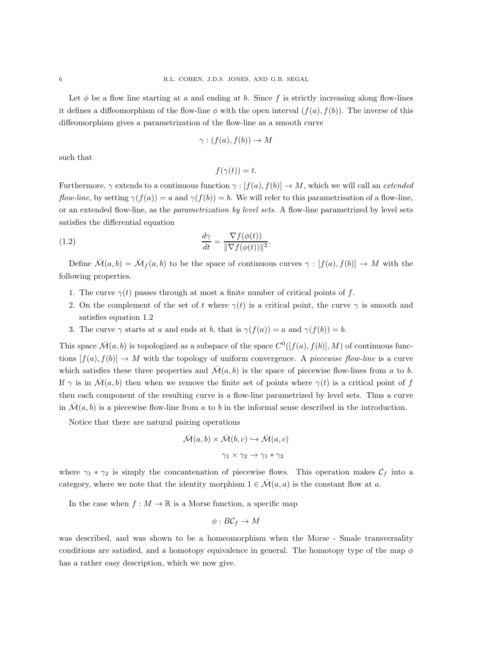Let  $\phi$  be a flow line starting at a and ending at b. Since f is strictly increasing along flow-lines it defines a diffeomorphism of the flow-line  $\phi$  with the open interval  $(f(a), f(b))$ . The inverse of this diffeomorphism gives a parametrization of the flow-line as a smooth curve

$$
\gamma : (f(a), f(b)) \to M
$$

such that

$$
f(\gamma(t)) = t.
$$

Furthermore,  $\gamma$  extends to a continuous function  $\gamma : [f(a), f(b)] \to M$ , which we will call an *extended flow-line*, by setting  $\gamma(f(a)) = a$  and  $\gamma(f(b)) = b$ . We will refer to this parametrisation of a flow-line, or an extended flow-line, as the *parametrization by level sets*. A flow-line parametrized by level sets satisfies the differential equation

(1.2) 
$$
\frac{d\gamma}{dt} = \frac{\nabla f(\phi(t))}{\|\nabla f(\phi(t))\|^2}.
$$

Define  $\overline{\mathcal{M}}(a, b) = \overline{\mathcal{M}}_f(a, b)$  to be the space of continuous curves  $\gamma : [f(a), f(b)] \to M$  with the following properties.

- 1. The curve  $\gamma(t)$  passes through at most a finite number of critical points of f.
- 2. On the complement of the set of t where  $\gamma(t)$  is a critical point, the curve  $\gamma$  is smooth and satisfies equation 1.2
- 3. The curve  $\gamma$  starts at a and ends at b, that is  $\gamma(f(a)) = a$  and  $\gamma(f(b)) = b$ .

This space  $\bar{\mathcal{M}}(a, b)$  is topologized as a subspace of the space  $C^0([f(a), f(b)], M)$  of continuous functions  $[f(a), f(b)] \to M$  with the topology of uniform convergence. A *piecewise flow-line* is a curve which satisfies these three properties and  $\mathcal{M}(a, b)$  is the space of piecewise flow-lines from a to b. If  $\gamma$  is in  $\mathcal{M}(a, b)$  then when we remove the finite set of points where  $\gamma(t)$  is a critical point of f then each component of the resulting curve is a flow-line parametrized by level sets. Thus a curve in  $\mathcal{M}(a, b)$  is a piecewise flow-line from a to b in the informal sense described in the introduction.

Notice that there are natural pairing operations

$$
\bar{\mathcal{M}}(a,b) \times \bar{\mathcal{M}}(b,c) \hookrightarrow \bar{\mathcal{M}}(a,c)
$$

$$
\gamma_1 \times \gamma_2 \to \gamma_1 * \gamma_2
$$

where  $\gamma_1 * \gamma_2$  is simply the concantenation of piecewise flows. This operation makes  $\mathcal{C}_f$  into a category, where we note that the identity morphism  $1 \in \overline{\mathcal{M}}(a, a)$  is the constant flow at a.

In the case when  $f : M \to \mathbb{R}$  is a Morse function, a specific map

$$
\phi: B\mathcal{C}_f \to M
$$

was described, and was shown to be a homeomorphism when the Morse - Smale transversality conditions are satisfied, and a homotopy equivalence in general. The homotopy type of the map  $\phi$ has a rather easy description, which we now give.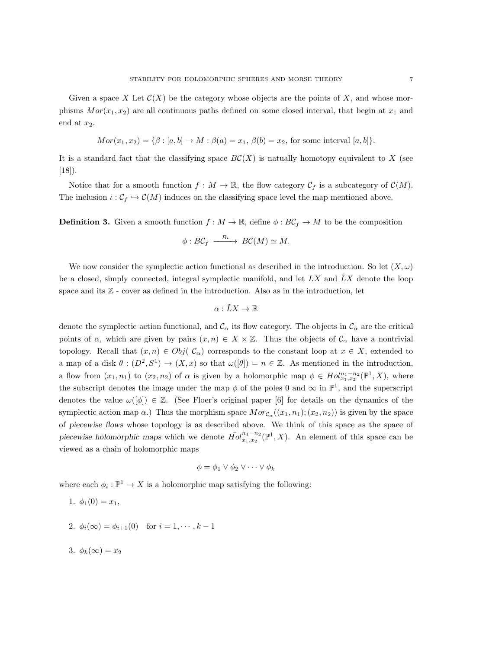$$
Mor(x_1, x_2) = {\beta : [a, b] \to M : \beta(a) = x_1, \beta(b) = x_2, \text{ for some interval } [a, b]}.
$$

It is a standard fact that the classifying space  $BC(X)$  is natually homotopy equivalent to X (see  $[18]$ .

Notice that for a smooth function  $f : M \to \mathbb{R}$ , the flow category  $\mathcal{C}_f$  is a subcategory of  $\mathcal{C}(M)$ . The inclusion  $\iota : \mathcal{C}_f \hookrightarrow \mathcal{C}(M)$  induces on the classifying space level the map mentioned above.

**Definition 3.** Given a smooth function  $f : M \to \mathbb{R}$ , define  $\phi : BC_f \to M$  to be the composition

$$
\phi: B\mathcal{C}_f \xrightarrow{B\iota} BC(M) \simeq M.
$$

We now consider the symplectic action functional as described in the introduction. So let  $(X, \omega)$ be a closed, simply connected, integral symplectic manifold, and let  $LX$  and  $\overline{L}X$  denote the loop space and its  $\mathbb{Z}$  - cover as defined in the introduction. Also as in the introduction, let

$$
\alpha:\tilde{L}X\to\mathbb{R}
$$

denote the symplectic action functional, and  $\mathcal{C}_{\alpha}$  its flow category. The objects in  $\mathcal{C}_{\alpha}$  are the critical points of  $\alpha$ , which are given by pairs  $(x, n) \in X \times \mathbb{Z}$ . Thus the objects of  $\mathcal{C}_{\alpha}$  have a nontrivial topology. Recall that  $(x, n) \in Obj(\mathcal{C}_{\alpha})$  corresponds to the constant loop at  $x \in X$ , extended to a map of a disk  $\theta: (D^2, S^1) \to (X, x)$  so that  $\omega([\theta]) = n \in \mathbb{Z}$ . As mentioned in the introduction, a flow from  $(x_1, n_1)$  to  $(x_2, n_2)$  of  $\alpha$  is given by a holomorphic map  $\phi \in Hol_{x_1, x_2}^{n_1 - n_2}(\mathbb{P}^1, X)$ , where the subscript denotes the image under the map  $\phi$  of the poles 0 and  $\infty$  in  $\mathbb{P}^1$ , and the superscript denotes the value  $\omega([\phi]) \in \mathbb{Z}$ . (See Floer's original paper [6] for details on the dynamics of the symplectic action map  $\alpha$ .) Thus the morphism space  $Mor_{\mathcal{C}_{\alpha}}((x_1, n_1); (x_2, n_2))$  is given by the space of piecewise flows whose topology is as described above. We think of this space as the space of piecewise holomorphic maps which we denote  $\bar{Hol}^{n_1-n_2}_{x_1,x_2}$  $x_1^{n_1-n_2}(\mathbb{P}^1, X)$ . An element of this space can be viewed as a chain of holomorphic maps

$$
\phi = \phi_1 \vee \phi_2 \vee \dots \vee \phi_k
$$

where each  $\phi_i : \mathbb{P}^1 \to X$  is a holomorphic map satisfying the following:

- 1.  $\phi_1(0) = x_1$ ,
- 2.  $\phi_i(\infty) = \phi_{i+1}(0)$  for  $i = 1, \dots, k-1$

$$
3. \ \phi_k(\infty) = x_2
$$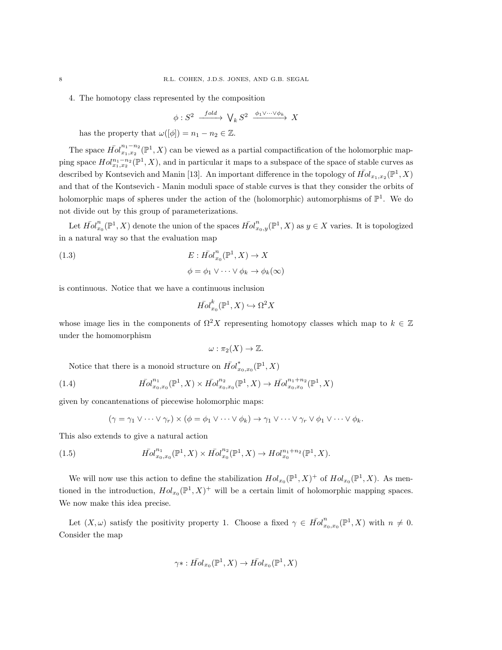# 4. The homotopy class represented by the composition

$$
\phi: S^2 \xrightarrow{fold} \bigvee_k S^2 \xrightarrow{\phi_1 \vee \dots \vee \phi_k} X
$$

has the property that  $\omega([\phi]) = n_1 - n_2 \in \mathbb{Z}$ .

The space  $\bar{Hol}^{n_1-n_2}_{x_1,x_2}$  $x_1^{n_1-n_2}(\mathbb{P}^1, X)$  can be viewed as a partial compactification of the holomorphic mapping space  $Hol^{n_1-n_2}_{x_1,x_2}(\mathbb{P}^1,X)$ , and in particular it maps to a subspace of the space of stable curves as described by Kontsevich and Manin [13]. An important difference in the topology of  $\bar{Hol}_{x_1,x_2}(\mathbb{P}^1,X)$ and that of the Kontsevich - Manin moduli space of stable curves is that they consider the orbits of holomorphic maps of spheres under the action of the (holomorphic) automorphisms of  $\mathbb{P}^1$ . We do not divide out by this group of parameterizations.

Let  $\bar{Hol}_x^n$  $x_0^n(\mathbb{P}^1, X)$  denote the union of the spaces  $\bar{Hol}_{x_0, y}^n(\mathbb{P}^1, X)$  as  $y \in X$  varies. It is topologized in a natural way so that the evaluation map

(1.3)  
\n
$$
E: \overline{Hol}_{x_0}^n(\mathbb{P}^1, X) \to X
$$
\n
$$
\phi = \phi_1 \vee \cdots \vee \phi_k \to \phi_k(\infty)
$$

is continuous. Notice that we have a continuous inclusion

$$
\bar{Hol}^k_{x_0}(\mathbb{P}^1, X) \hookrightarrow \Omega^2 X
$$

whose image lies in the components of  $\Omega^2 X$  representing homotopy classes which map to  $k \in \mathbb{Z}$ under the homomorphism

$$
\omega: \pi_2(X) \to \mathbb{Z}.
$$

Notice that there is a monoid structure on  $\bar{Hol}^*_x$  $_{x_{0},x_{0}}^{*}(\mathbb{P}^{1},X)$ 

(1.4) 
$$
\bar{Hol}^{n_1}_{x_0,x_0}(\mathbb{P}^1,X)\times \bar{Hol}^{n_2}_{x_0,x_0}(\mathbb{P}^1,X)\to \bar{Hol}^{n_1+n_2}_{x_0,x_0}(\mathbb{P}^1,X)
$$

given by concantenations of piecewise holomorphic maps:

$$
(\gamma = \gamma_1 \vee \cdots \vee \gamma_r) \times (\phi = \phi_1 \vee \cdots \vee \phi_k) \rightarrow \gamma_1 \vee \cdots \vee \gamma_r \vee \phi_1 \vee \cdots \vee \phi_k.
$$

This also extends to give a natural action

(1.5) 
$$
\bar{Hol}^{n_1}_{x_0,x_0}(\mathbb{P}^1,X)\times \bar{Hol}^{n_2}_{x_0}(\mathbb{P}^1,X)\to Hol^{n_1+n_2}_{x_0}(\mathbb{P}^1,X).
$$

We will now use this action to define the stabilization  $Hol_{x_0}(\mathbb{P}^1, X)^+$  of  $Hol_{x_0}(\mathbb{P}^1, X)$ . As mentioned in the introduction,  $Hol_{x_0}(\mathbb{P}^1, X)^+$  will be a certain limit of holomorphic mapping spaces. We now make this idea precise.

Let  $(X, \omega)$  satisfy the positivity property 1. Choose a fixed  $\gamma \in \overline{Hol}_x^n$  $x_{0},x_{0}(\mathbb{P}^{1},X)$  with  $n \neq 0$ . Consider the map

$$
\gamma \ast : \overline{Hol}_{x_0}(\mathbb{P}^1, X) \to \overline{Hol}_{x_0}(\mathbb{P}^1, X)
$$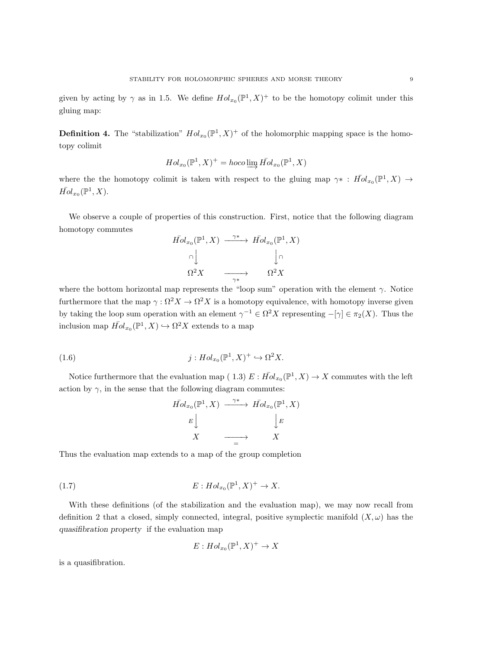given by acting by  $\gamma$  as in 1.5. We define  $Hol_{x_0}(\mathbb{P}^1, X)^+$  to be the homotopy colimit under this gluing map:

**Definition 4.** The "stabilization"  $Hol_{x_0}(\mathbb{P}^1, X)^+$  of the holomorphic mapping space is the homotopy colimit

$$
Hol_{x_0}(\mathbb{P}^1, X)^+ = hoco \varinjlim \bar{Hol}_{x_0}(\mathbb{P}^1, X)
$$

where the the homotopy colimit is taken with respect to the gluing map  $\gamma^* : \bar{Hol}_{x_0}(\mathbb{P}^1, X) \to$  $\bar{Hol}_{x_0}(\mathbb{P}^1, X).$ 

We observe a couple of properties of this construction. First, notice that the following diagram homotopy commutes

$$
\begin{array}{ccc}\n\bar{Hol}_{x_0}(\mathbb{P}^1, X) & \xrightarrow{\gamma^*} & \bar{Hol}_{x_0}(\mathbb{P}^1, X) \\
\uparrow & & \downarrow \cap \\
\Omega^2 X & \xrightarrow{\gamma^*} & \Omega^2 X\n\end{array}
$$

where the bottom horizontal map represents the "loop sum" operation with the element  $\gamma$ . Notice furthermore that the map  $\gamma : \Omega^2 X \to \Omega^2 X$  is a homotopy equivalence, with homotopy inverse given by taking the loop sum operation with an element  $\gamma^{-1} \in \Omega^2 X$  representing  $-[\gamma] \in \pi_2(X)$ . Thus the inclusion map  $\bar{Hol}_{x_0}(\mathbb{P}^1, X) \hookrightarrow \Omega^2 X$  extends to a map

(1.6) 
$$
j: Hol_{x_0}(\mathbb{P}^1, X)^+ \hookrightarrow \Omega^2 X.
$$

Notice furthermore that the evaluation map (1.3)  $E: \overline{Hol}_{x_0}(\mathbb{P}^1, X) \to X$  commutes with the left action by  $\gamma$ , in the sense that the following diagram commutes:

$$
\begin{array}{ccc}\n\bar{Hol}_{x_0}(\mathbb{P}^1, X) & \xrightarrow{\gamma^*} & \bar{Hol}_{x_0}(\mathbb{P}^1, X) \\
E \downarrow & & \downarrow E \\
X & \xrightarrow{\hspace{2cm} \longrightarrow} & X\n\end{array}
$$

Thus the evaluation map extends to a map of the group completion

$$
(1.7) \t\t\t E: Hol_{x_0}(\mathbb{P}^1, X)^+ \to X.
$$

With these definitions (of the stabilization and the evaluation map), we may now recall from definition 2 that a closed, simply connected, integral, positive symplectic manifold  $(X, \omega)$  has the quasifibration property if the evaluation map

$$
E: Hol_{x_0}(\mathbb{P}^1, X)^+ \to X
$$

is a quasifibration.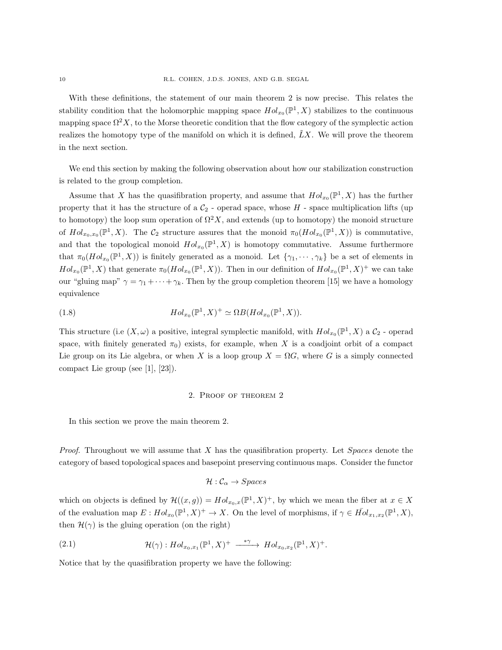With these definitions, the statement of our main theorem 2 is now precise. This relates the stability condition that the holomorphic mapping space  $Hol_{x_0}(\mathbb{P}^1, X)$  stabilizes to the continuous mapping space  $\Omega^2 X$ , to the Morse theoretic condition that the flow category of the symplectic action realizes the homotopy type of the manifold on which it is defined,  $\tilde{L}X$ . We will prove the theorem in the next section.

We end this section by making the following observation about how our stabilization construction is related to the group completion.

Assume that X has the quasifibration property, and assume that  $Hol_{x_0}(\mathbb{P}^1, X)$  has the further property that it has the structure of a  $C_2$  - operad space, whose  $H$  - space multiplication lifts (up to homotopy) the loop sum operation of  $\Omega^2 X$ , and extends (up to homotopy) the monoid structure of  $Hol_{x_0,x_0}(\mathbb{P}^1, X)$ . The  $\mathcal{C}_2$  structure assures that the monoid  $\pi_0(Hol_{x_0}(\mathbb{P}^1, X))$  is commutative, and that the topological monoid  $Hol_{x_0}(\mathbb{P}^1, X)$  is homotopy commutative. Assume furthermore that  $\pi_0(Hol_{x_0}(\mathbb{P}^1, X))$  is finitely generated as a monoid. Let  $\{\gamma_1, \dots, \gamma_k\}$  be a set of elements in  $Hol_{x_0}(\mathbb{P}^1, X)$  that generate  $\pi_0(Hol_{x_0}(\mathbb{P}^1, X))$ . Then in our definition of  $Hol_{x_0}(\mathbb{P}^1, X)^+$  we can take our "gluing map"  $\gamma = \gamma_1 + \cdots + \gamma_k$ . Then by the group completion theorem [15] we have a homology equivalence

(1.8) 
$$
Hol_{x_0}(\mathbb{P}^1, X)^+ \simeq \Omega B(Hol_{x_0}(\mathbb{P}^1, X)).
$$

This structure (i.e  $(X, \omega)$  a positive, integral symplectic manifold, with  $Hol_{x_0}(\mathbb{P}^1, X)$  a  $\mathcal{C}_2$  - operad space, with finitely generated  $\pi_0$ ) exists, for example, when X is a coadjoint orbit of a compact Lie group on its Lie algebra, or when X is a loop group  $X = \Omega G$ , where G is a simply connected compact Lie group (see [1], [23]).

## 2. Proof of theorem 2

In this section we prove the main theorem 2.

*Proof.* Throughout we will assume that X has the quasifibration property. Let Spaces denote the category of based topological spaces and basepoint preserving continuous maps. Consider the functor

$$
\mathcal{H}: \mathcal{C}_{\alpha} \to Spaces
$$

which on objects is defined by  $\mathcal{H}((x,g)) = Hol_{x_0,x}(\mathbb{P}^1,X)^+$ , by which we mean the fiber at  $x \in X$ of the evaluation map  $E: Hol_{x_0}(\mathbb{P}^1, X)^+ \to X$ . On the level of morphisms, if  $\gamma \in \overline{Hol}_{x_1, x_2}(\mathbb{P}^1, X)$ , then  $\mathcal{H}(\gamma)$  is the gluing operation (on the right)

(2.1) 
$$
\mathcal{H}(\gamma) : Hol_{x_0,x_1}(\mathbb{P}^1,X)^+ \xrightarrow{\quad \ast \gamma} Hol_{x_0,x_2}(\mathbb{P}^1,X)^+.
$$

Notice that by the quasifibration property we have the following: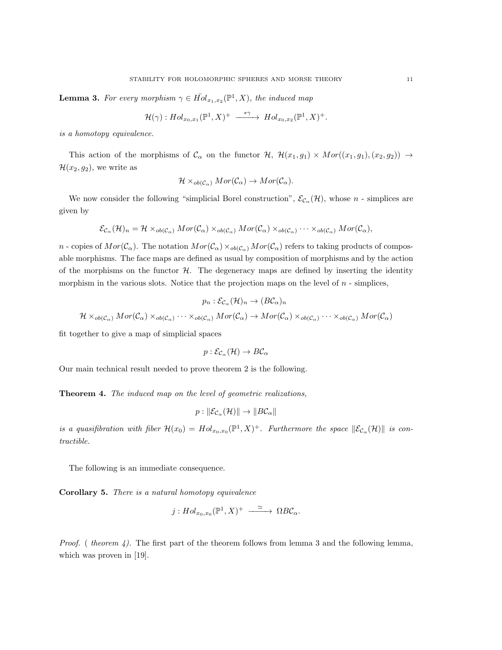**Lemma 3.** For every morphism  $\gamma \in \overline{Hol}_{x_1, x_2}(\mathbb{P}^1, X)$ , the induced map

$$
\mathcal{H}(\gamma): Hol_{x_0,x_1}(\mathbb{P}^1,X)^+ \xrightarrow{\quad \ast \gamma \quad} Hol_{x_0,x_2}(\mathbb{P}^1,X)^+.
$$

*is a homotopy equivalence.*

This action of the morphisms of  $\mathcal{C}_{\alpha}$  on the functor  $\mathcal{H}, \mathcal{H}(x_1, g_1) \times Mor((x_1, g_1), (x_2, g_2)) \rightarrow$  $\mathcal{H}(x_2, g_2)$ , we write as

$$
\mathcal{H} \times_{ob(\mathcal{C}_{\alpha})} Mor(\mathcal{C}_{\alpha}) \to Mor(\mathcal{C}_{\alpha}).
$$

We now consider the following "simplicial Borel construction",  $\mathcal{E}_{\mathcal{C}_{\alpha}}(\mathcal{H})$ , whose n - simplices are given by

$$
\mathcal{E}_{\mathcal{C}_{\alpha}}(\mathcal{H})_n = \mathcal{H} \times_{ob(\mathcal{C}_{\alpha})} Mor(\mathcal{C}_{\alpha}) \times_{ob(\mathcal{C}_{\alpha})} Mor(\mathcal{C}_{\alpha}) \times_{ob(\mathcal{C}_{\alpha})} \cdots \times_{ob(\mathcal{C}_{\alpha})} Mor(\mathcal{C}_{\alpha}),
$$

n - copies of  $Mor(\mathcal{C}_{\alpha})$ . The notation  $Mor(\mathcal{C}_{\alpha}) \times_{ob(\mathcal{C}_{\alpha})} Mor(\mathcal{C}_{\alpha})$  refers to taking products of composable morphisms. The face maps are defined as usual by composition of morphisms and by the action of the morphisms on the functor  $H$ . The degeneracy maps are defined by inserting the identity morphism in the various slots. Notice that the projection maps on the level of  $n$  - simplices,

$$
p_n : \mathcal{E}_{\mathcal{C}_{\alpha}}(\mathcal{H})_n \to (\mathcal{B}\mathcal{C}_{\alpha})_n
$$
  

$$
\mathcal{H} \times_{ob(\mathcal{C}_{\alpha})} Mor(\mathcal{C}_{\alpha}) \times_{ob(\mathcal{C}_{\alpha})} \cdots \times_{ob(\mathcal{C}_{\alpha})} Mor(\mathcal{C}_{\alpha}) \to Mor(\mathcal{C}_{\alpha}) \times_{ob(\mathcal{C}_{\alpha})} \cdots \times_{ob(\mathcal{C}_{\alpha})} Mor(\mathcal{C}_{\alpha})
$$

fit together to give a map of simplicial spaces

$$
p: \mathcal{E}_{\mathcal{C}_{\alpha}}(\mathcal{H}) \to B\mathcal{C}_{\alpha}
$$

Our main technical result needed to prove theorem 2 is the following.

Theorem 4. *The induced map on the level of geometric realizations,*

$$
p: \|\mathcal{E}_{\mathcal{C}_{\alpha}}(\mathcal{H})\| \to \|B\mathcal{C}_{\alpha}\|
$$

*is a quasifibration with fiber*  $\mathcal{H}(x_0) = Hol_{x_0,x_0}(\mathbb{P}^1,X)^+$ *. Furthermore the space*  $\|\mathcal{E}_{\mathcal{C}_{\alpha}}(\mathcal{H})\|$  *is contractible.*

The following is an immediate consequence.

Corollary 5. *There is a natural homotopy equivalence*

$$
j:Hol_{x_0,x_0}(\mathbb{P}^1,X)^+\longrightarrow\Omega B\mathcal{C}_{\alpha}.
$$

*Proof.* ( *theorem 4).* The first part of the theorem follows from lemma 3 and the following lemma, which was proven in [19].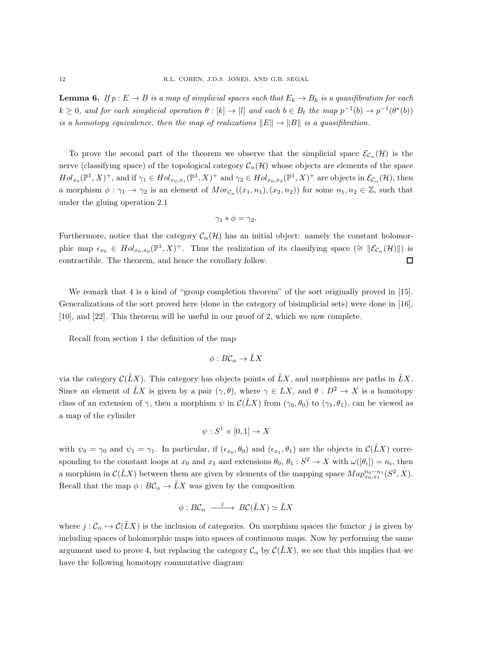**Lemma 6.** If  $p: E \to B$  *is a map of simplicial spaces such that*  $E_k \to B_k$  *is a quasifibration for each*  $k \geq 0$ , and for each simplicial operation  $\theta : [k] \to [l]$  and each  $b \in B_l$  the map  $p^{-1}(b) \to p^{-1}(\theta^*(b))$ *is a homotopy equivalence, then the map of realizations*  $||E|| \rightarrow ||B||$  *is a quasifibration.* 

To prove the second part of the theorem we observe that the simplicial space  $\mathcal{E}_{\mathcal{C}_{\alpha}}(\mathcal{H})$  is the nerve (classifying space) of the topological category  $\mathcal{C}_{\alpha}(\mathcal{H})$  whose objects are elements of the space  $Hol_{x_0}(\mathbb{P}^1, X)^+$ , and if  $\gamma_1 \in Hol_{x_0, x_1}(\mathbb{P}^1, X)^+$  and  $\gamma_2 \in Hol_{x_0, x_2}(\mathbb{P}^1, X)^+$  are objects in  $\mathcal{E}_{\mathcal{C}_{\alpha}}(\mathcal{H})$ , then a morphism  $\phi : \gamma_1 \to \gamma_2$  is an element of  $Mor_{\mathcal{C}_{\alpha}}((x_1, n_1), (x_2, n_2))$  for some  $n_1, n_2 \in \mathbb{Z}$ , such that under the gluing operation 2.1

$$
\gamma_1 * \phi = \gamma_2.
$$

Furthermore, notice that the category  $\mathcal{C}_{\alpha}(\mathcal{H})$  has an initial object: namely the constant holomorphic map  $\epsilon_{x_0} \in Hol_{x_0,x_0}(\mathbb{P}^1,X)^+$ . Thus the realization of its classifying space  $(\cong \|\mathcal{E}_{\mathcal{C}_{\alpha}}(\mathcal{H})\|)$  is contractible. The theorem, and hence the corollary follow.  $\Box$ 

We remark that 4 is a kind of "group completion theorem" of the sort originally proved in [15]. Generalizations of the sort proved here (done in the category of bisimplicial sets) were done in [16], [10], and [22]. This theorem will be useful in our proof of 2, which we now complete.

Recall from section 1 the definition of the map

$$
\phi: B\mathcal{C}_\alpha \to \tilde{L}X
$$

via the category  $\mathcal{C}(\tilde{L}X)$ . This category has objects points of  $\tilde{L}X$ , and morphisms are paths in  $\tilde{L}X$ . Since an element of  $\tilde{L}X$  is given by a pair  $(\gamma, \theta)$ , where  $\gamma \in LX$ , and  $\theta : D^2 \to X$  is a homotopy class of an extension of  $\gamma$ , then a morphism  $\psi$  in  $\mathcal{C}(LX)$  from  $(\gamma_0, \theta_0)$  to  $(\gamma_1, \theta_1)$ , can be viewed as a map of the cylinder

$$
\psi: S^1 \times [0,1] \to X
$$

with  $\psi_0 = \gamma_0$  and  $\psi_1 = \gamma_1$ . In particular, if  $(\epsilon_{x_0}, \theta_0)$  and  $(\epsilon_{x_1}, \theta_1)$  are the objects in  $\mathcal{C}(\tilde{L}X)$  corresponding to the constant loops at  $x_0$  and  $x_1$  and extensions  $\theta_0$ ,  $\theta_1 : S^2 \to X$  with  $\omega([\theta_i]) = n_i$ , then a morphism in  $\mathcal{C}(\tilde{L}X)$  between them are given by elements of the mapping space  $Map_{x_0,x_1}^{n_0-n_1}(S^2,X)$ . Recall that the map  $\phi : B\mathcal{C}_\alpha \to \tilde{L}X$  was given by the composition

$$
\phi: BC_{\alpha} \xrightarrow{j} BC(\tilde{L}X) \simeq \tilde{L}X
$$

where  $j : C_\alpha \hookrightarrow \mathcal{C}(LX)$  is the inclusion of categories. On morphism spaces the functor j is given by including spaces of holomorphic maps into spaces of continuous maps. Now by performing the same argument used to prove 4, but replacing the category  $\mathcal{C}_{\alpha}$  by  $\mathcal{C}(\tilde{L}X)$ , we see that this implies that we have the following homotopy commutative diagram: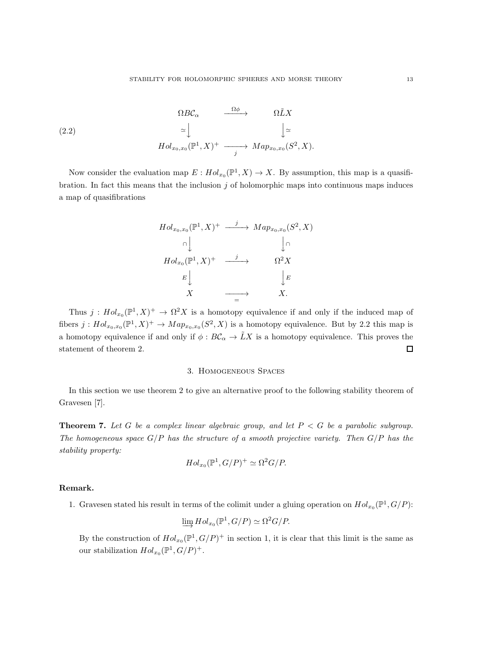(2.2) 
$$
\Omega BC_{\alpha} \xrightarrow{\Omega \phi} \Omega \tilde{L} X
$$

$$
\simeq \downarrow \qquad \qquad \downarrow \simeq
$$

$$
Hol_{x_0, x_0}(\mathbb{P}^1, X)^+ \xrightarrow{j} Map_{x_0, x_0}(S^2, X).
$$

Now consider the evaluation map  $E: Hol_{x_0}(\mathbb{P}^1, X) \to X$ . By assumption, this map is a quasifibration. In fact this means that the inclusion  $j$  of holomorphic maps into continuous maps induces a map of quasifibrations

$$
Hol_{x_0,x_0}(\mathbb{P}^1, X)^+ \xrightarrow{j} Map_{x_0,x_0}(S^2, X)
$$
  
\n
$$
\cap \bigcup_{\substack{\bigcap_{\text{hol}_{x_0}}(\mathbb{P}^1, X)^+ \\ E \downarrow}} Map_{x_0,x_0}(S^2, X)
$$
  
\n
$$
\longrightarrow \Omega^2 X
$$
  
\n
$$
E \bigcup_{\substack{\longrightarrow \\ E}} K \longrightarrow X.
$$

Thus  $j: Hol_{x_0}(\mathbb{P}^1, X)^+ \to \Omega^2 X$  is a homotopy equivalence if and only if the induced map of fibers  $j: Hol_{x_0,x_0}(\mathbb{P}^1, X)^+ \to Map_{x_0,x_0}(S^2, X)$  is a homotopy equivalence. But by 2.2 this map is a homotopy equivalence if and only if  $\phi : B\mathcal{C}_\alpha \to \tilde{L}X$  is a homotopy equivalence. This proves the statement of theorem 2.  $\Box$ 

## 3. Homogeneous Spaces

In this section we use theorem 2 to give an alternative proof to the following stability theorem of Gravesen [7].

**Theorem 7.** Let G be a complex linear algebraic group, and let  $P < G$  be a parabolic subgroup. *The homogeneous space* G/P *has the structure of a smooth projective variety. Then* G/P *has the stability property:*

$$
Hol_{x_0}(\mathbb{P}^1, G/P)^+ \simeq \Omega^2 G/P.
$$

# Remark.

1. Gravesen stated his result in terms of the colimit under a gluing operation on  $Hol_{x_0}(\mathbb{P}^1, G/P)$ :

$$
\varinjlim Hol_{x_0}(\mathbb{P}^1, G/P) \simeq \Omega^2 G/P.
$$

By the construction of  $Hol_{x_0}(\mathbb{P}^1, G/P)^+$  in section 1, it is clear that this limit is the same as our stabilization  $Hol_{x_0}(\mathbb{P}^1, G/P)^+$ .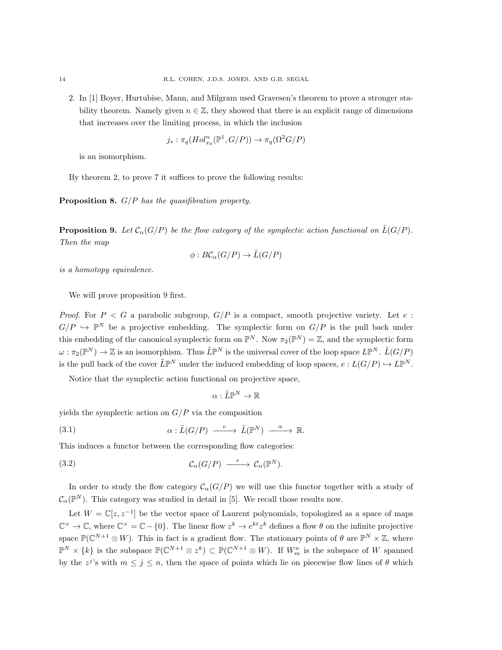2. In [1] Boyer, Hurtubise, Mann, and Milgram used Gravesen's theorem to prove a stronger stability theorem. Namely given  $n \in \mathbb{Z}$ , they showed that there is an explicit range of dimensions that increases over the limiting process, in which the inclusion

$$
j_* : \pi_q(Hol_{x_0}^n(\mathbb{P}^1, G/P)) \to \pi_q(\Omega^2 G/P)
$$

is an isomorphism.

By theorem 2, to prove 7 it suffices to prove the following results:

Proposition 8. G/P *has the quasifibration property.*

**Proposition 9.** Let  $\mathcal{C}_{\alpha}(G/P)$  be the flow category of the symplectic action functional on  $\tilde{L}(G/P)$ . *Then the map*

$$
\phi: B\mathcal{C}_{\alpha}(G/P) \to \tilde{L}(G/P)
$$

*is a homotopy equivalence.*

We will prove proposition 9 first.

*Proof.* For  $P < G$  a parabolic subgroup,  $G/P$  is a compact, smooth projective variety. Let e:  $G/P \hookrightarrow \mathbb{P}^N$  be a projective embedding. The symplectic form on  $G/P$  is the pull back under this embedding of the canonical symplectic form on  $\mathbb{P}^N$ . Now  $\pi_2(\mathbb{P}^N) = \mathbb{Z}$ , and the symplectic form  $\omega: \pi_2(\mathbb{P}^N) \to \mathbb{Z}$  is an isomorphism. Thus  $\tilde{L}\mathbb{P}^N$  is the universal cover of the loop space  $L\mathbb{P}^N$ .  $\tilde{L}(G/P)$ is the pull back of the cover  $\tilde{L}\mathbb{P}^N$  under the induced embedding of loop spaces,  $e: L(G/P) \hookrightarrow L\mathbb{P}^N$ .

Notice that the symplectic action functional on projective space,

$$
\alpha:\tilde{L}\mathbb{P}^N\to\mathbb{R}
$$

yields the symplectic action on  $G/P$  via the composition

(3.1) 
$$
\alpha : \tilde{L}(G/P) \xrightarrow{e} \tilde{L}(\mathbb{P}^N) \xrightarrow{\alpha} \mathbb{R}.
$$

This induces a functor between the corresponding flow categories:

(3.2) 
$$
\mathcal{C}_{\alpha}(G/P) \longrightarrow \mathcal{C}_{\alpha}(\mathbb{P}^N).
$$

In order to study the flow category  $C_{\alpha}(G/P)$  we will use this functor together with a study of  $\mathcal{C}_{\alpha}(\mathbb{P}^N)$ . This category was studied in detail in [5]. We recall those results now.

Let  $W = \mathbb{C}[z, z^{-1}]$  be the vector space of Laurent polynomials, topologized as a space of maps  $\mathbb{C}^{\times} \to \mathbb{C}$ , where  $\mathbb{C}^{\times} = \mathbb{C} - \{0\}$ . The linear flow  $z^{k} \to e^{kt} z^{k}$  defines a flow  $\theta$  on the infinite projective space  $\mathbb{P}(\mathbb{C}^{N+1}\otimes W)$ . This in fact is a gradient flow. The stationary points of  $\theta$  are  $\mathbb{P}^N\times\mathbb{Z}$ , where  $\mathbb{P}^N \times \{k\}$  is the subspace  $\mathbb{P}(\mathbb{C}^{N+1} \otimes z^k) \subset \mathbb{P}(\mathbb{C}^{N+1} \otimes W)$ . If  $W_m^n$  is the subspace of W spanned by the  $z^{j}$ 's with  $m \leq j \leq n$ , then the space of points which lie on piecewise flow lines of  $\theta$  which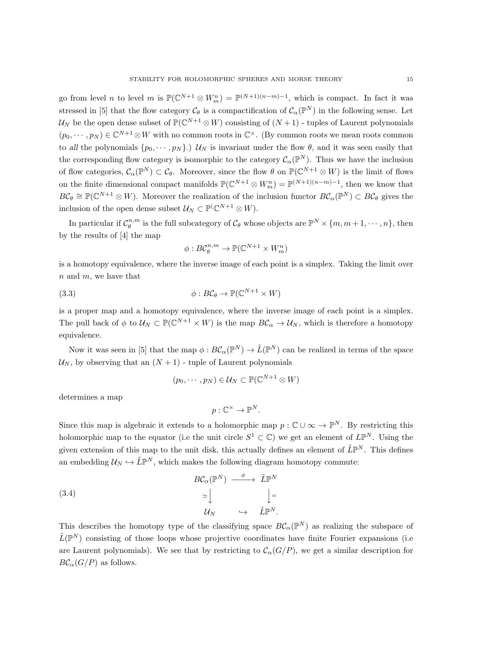go from level *n* to level *m* is  $\mathbb{P}(\mathbb{C}^{N+1} \otimes W_m^n) = \mathbb{P}^{(N+1)(n-m)-1}$ , which is compact. In fact it was stressed in [5] that the flow category  $\mathcal{C}_{\theta}$  is a compactification of  $\mathcal{C}_{\alpha}(\mathbb{P}^N)$  in the following sense. Let  $\mathcal{U}_N$  be the open dense subset of  $\mathbb{P}(\mathbb{C}^{N+1}\otimes W)$  consisting of  $(N+1)$  - tuples of Laurent polynomials  $(p_0, \dots, p_N) \in \mathbb{C}^{N+1} \otimes W$  with no common roots in  $\mathbb{C}^{\times}$ . (By common roots we mean roots common to all the polynomials  $\{p_0, \dots, p_N\}$ .)  $\mathcal{U}_N$  is invariant under the flow  $\theta$ , and it was seen easily that the corresponding flow category is isomorphic to the category  $\mathcal{C}_{\alpha}(\mathbb{P}^N)$ . Thus we have the inclusion of flow categories,  $\mathcal{C}_{\alpha}(\mathbb{P}^N) \subset \mathcal{C}_{\theta}$ . Moreover, since the flow  $\theta$  on  $\mathbb{P}(\mathbb{C}^{N+1} \otimes W)$  is the limit of flows on the finite dimensional compact manifolds  $\mathbb{P}(\mathbb{C}^{N+1} \otimes W_m^n) = \mathbb{P}^{(N+1)(n-m)-1}$ , then we know that  $BC_\theta \cong \mathbb{P}(\mathbb{C}^{N+1} \otimes W)$ . Moreover the realization of the inclusion functor  $BC_\alpha(\mathbb{P}^N) \subset BC_\theta$  gives the inclusion of the open dense subset  $\mathcal{U}_N \subset \mathbb{P}^{(\mathbb{C}^{N+1} \otimes W)}$ .

In particular if  $\mathcal{C}_{\theta}^{n,m}$  is the full subcategory of  $\mathcal{C}_{\theta}$  whose objects are  $\mathbb{P}^N \times \{m, m+1, \cdots, n\}$ , then by the results of [4] the map

$$
\phi: B\mathcal{C}_{\theta}^{n,m} \to \mathbb{P}(\mathbb{C}^{N+1} \times W_m^n)
$$

is a homotopy equivalence, where the inverse image of each point is a simplex. Taking the limit over n and m, we have that

(3.3) 
$$
\phi: B\mathcal{C}_{\theta} \to \mathbb{P}(\mathbb{C}^{N+1} \times W)
$$

is a proper map and a homotopy equivalence, where the inverse image of each point is a simplex. The pull back of  $\phi$  to  $\mathcal{U}_N \subset \mathbb{P}(\mathbb{C}^{N+1} \times W)$  is the map  $B\mathcal{C}_\alpha \to \mathcal{U}_N$ , which is therefore a homotopy equivalence.

Now it was seen in [5] that the map  $\phi: BC_{\alpha}(\mathbb{P}^N) \to \tilde{L}(\mathbb{P}^N)$  can be realized in terms of the space  $U_N$ , by observing that an  $(N + 1)$  - tuple of Laurent polynomials

$$
(p_0, \cdots, p_N) \in \mathcal{U}_N \subset \mathbb{P}(\mathbb{C}^{N+1} \otimes W)
$$

determines a map

$$
p: \mathbb{C}^{\times} \to \mathbb{P}^{N}.
$$

Since this map is algebraic it extends to a holomorphic map  $p : \mathbb{C} \cup \infty \to \mathbb{P}^N$ . By restricting this holomorphic map to the equator (i.e the unit circle  $S^1 \subset \mathbb{C}$ ) we get an element of  $L\mathbb{P}^N$ . Using the given extension of this map to the unit disk, this actually defines an element of  $\tilde{L}\mathbb{P}^N$ . This defines an embedding  $\mathcal{U}_N \hookrightarrow \tilde{L}\mathbb{P}^N$ , which makes the following diagram homotopy commute:

(3.4)  
\n
$$
BC_{\alpha}(\mathbb{P}^{N}) \xrightarrow{\phi} \tilde{L}\mathbb{P}^{N}
$$
\n
$$
\simeq \bigcup_{\mathcal{U}_{N}} \bigcup_{\hookrightarrow} \tilde{L}\mathbb{P}^{N}.
$$

This describes the homotopy type of the classifying space  $B\mathcal{C}_{\alpha}(\mathbb{P}^N)$  as realizing the subspace of  $\tilde{L}(\mathbb{P}^N)$  consisting of those loops whose projective coordinates have finite Fourier expansions (i.e. are Laurent polynomials). We see that by restricting to  $\mathcal{C}_{\alpha}(G/P)$ , we get a similar description for  $BC_{\alpha}(G/P)$  as follows.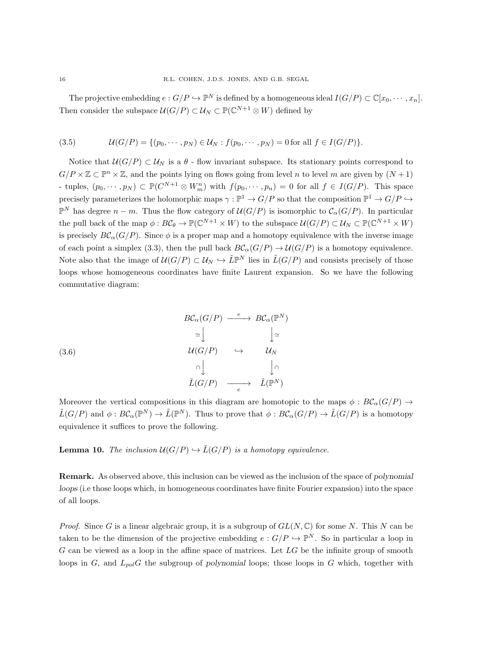The projective embedding  $e: G/P \hookrightarrow \mathbb{P}^N$  is defined by a homogeneous ideal  $I(G/P) \subset \mathbb{C}[x_0, \cdots, x_n]$ . Then consider the subspace  $\mathcal{U}(G/P) \subset \mathcal{U}_N \subset \mathbb{P}(\mathbb{C}^{N+1} \otimes W)$  defined by

(3.5) 
$$
\mathcal{U}(G/P) = \{ (p_0, \cdots, p_N) \in \mathcal{U}_N : f(p_0, \cdots, p_N) = 0 \text{ for all } f \in I(G/P) \}.
$$

Notice that  $U(G/P) \subset U_N$  is a  $\theta$  - flow invariant subspace. Its stationary points correspond to  $G/P \times \mathbb{Z} \subset \mathbb{P}^n \times \mathbb{Z}$ , and the points lying on flows going from level n to level m are given by  $(N+1)$ - tuples,  $(p_0, \dots, p_N) \subset \mathbb{P}(C^{N+1} \otimes W_m^n)$  with  $f(p_0, \dots, p_n) = 0$  for all  $f \in I(G/P)$ . This space precisely parameterizes the holomorphic maps  $\gamma : \mathbb{P}^1 \to G/P$  so that the composition  $\mathbb{P}^1 \to G/P \hookrightarrow$  $\mathbb{P}^N$  has degree  $n - m$ . Thus the flow category of  $\mathcal{U}(G/P)$  is isomorphic to  $\mathcal{C}_{\alpha}(G/P)$ . In particular the pull back of the map  $\phi: B\mathcal{C}_{\theta} \to \mathbb{P}(\mathbb{C}^{N+1} \times W)$  to the subspace  $\mathcal{U}(G/P) \subset \mathcal{U}_N \subset \mathbb{P}(\mathbb{C}^{N+1} \times W)$ is precisely  $BC_{\alpha}(G/P)$ . Since  $\phi$  is a proper map and a homotopy equivalence with the inverse image of each point a simplex (3.3), then the pull back  $BC_{\alpha}(G/P) \to \mathcal{U}(G/P)$  is a homotopy equivalence. Note also that the image of  $U(G/P) \subset U_N \hookrightarrow \tilde{L}\mathbb{P}^N$  lies in  $\tilde{L}(G/P)$  and consists precisely of those loops whose homogeneous coordinates have finite Laurent expansion. So we have the following commutative diagram:

(3.6)  
\n
$$
BC_{\alpha}(G/P) \xrightarrow{e} BC_{\alpha}(\mathbb{P}^{N})
$$
\n
$$
\simeq \bigcup_{\alpha=1}^{\infty} \bigcup_{\alpha=1}^{\infty} \bigcup_{\alpha=1}^{\infty} \mathcal{U}_{N}
$$
\n
$$
\xrightarrow{\cap} \bigcup_{\alpha=1}^{\infty} \bigcup_{\alpha=1}^{\infty} \mathcal{L}(\mathbb{P}^{N})
$$

Moreover the vertical compositions in this diagram are homotopic to the maps  $\phi : B\mathcal{C}_{\alpha}(G/P) \rightarrow$  $\tilde{L}(G/P)$  and  $\phi: B\mathcal{C}_{\alpha}(\mathbb{P}^N) \to \tilde{L}(\mathbb{P}^N)$ . Thus to prove that  $\phi: B\mathcal{C}_{\alpha}(G/P) \to \tilde{L}(G/P)$  is a homotopy equivalence it suffices to prove the following.

**Lemma 10.** *The inclusion*  $U(G/P) \hookrightarrow \tilde{L}(G/P)$  *is a homotopy equivalence.* 

Remark. As observed above, this inclusion can be viewed as the inclusion of the space of polynomial loops (i.e those loops which, in homogeneous coordinates have finite Fourier expansion) into the space of all loops.

*Proof.* Since G is a linear algebraic group, it is a subgroup of  $GL(N, \mathbb{C})$  for some N. This N can be taken to be the dimension of the projective embedding  $e: G/P \hookrightarrow \mathbb{P}^N$ . So in particular a loop in  $G$  can be viewed as a loop in the affine space of matrices. Let  $LG$  be the infinite group of smooth loops in  $G$ , and  $L_{pol}G$  the subgroup of polynomial loops; those loops in  $G$  which, together with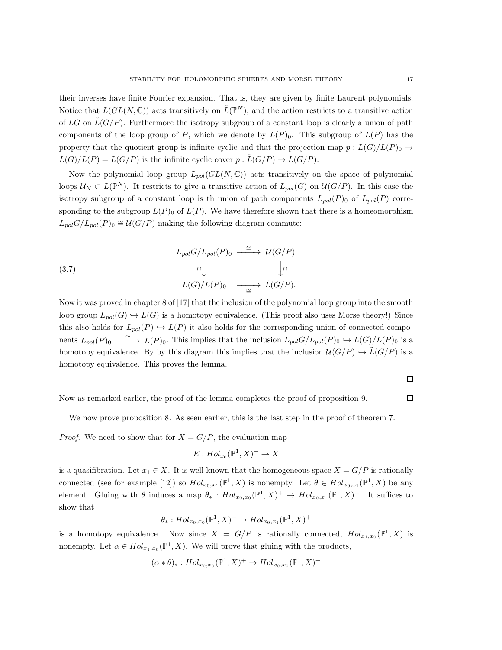their inverses have finite Fourier expansion. That is, they are given by finite Laurent polynomials. Notice that  $L(GL(N,\mathbb{C}))$  acts transitively on  $\tilde{L}(\mathbb{P}^N)$ , and the action restricts to a transitive action of LG on  $\tilde{L}(G/P)$ . Furthermore the isotropy subgroup of a constant loop is clearly a union of path components of the loop group of P, which we denote by  $L(P)_0$ . This subgroup of  $L(P)$  has the property that the quotient group is infinite cyclic and that the projection map  $p : L(G)/L(P)_0 \rightarrow$  $L(G)/L(P) = L(G/P)$  is the infinite cyclic cover  $p : \tilde{L}(G/P) \to L(G/P)$ .

Now the polynomial loop group  $L_{pol}(GL(N,\mathbb{C}))$  acts transitively on the space of polynomial loops  $\mathcal{U}_N \subset L(\mathbb{P}^N)$ . It restricts to give a transitive action of  $L_{pol}(G)$  on  $\mathcal{U}(G/P)$ . In this case the isotropy subgroup of a constant loop is th union of path components  $L_{pol}(P)$  of  $L_{pol}(P)$  corresponding to the subgroup  $L(P)$  of  $L(P)$ . We have therefore shown that there is a homeomorphism  $L_{pol}G/L_{pol}(P)_0 \cong \mathcal{U}(G/P)$  making the following diagram commute:

(3.7)  
\n
$$
L_{pol}G/L_{pol}(P)_0 \xrightarrow{\cong} \mathcal{U}(G/P)
$$
\n
$$
\cap \qquad \qquad \downarrow \cap
$$
\n
$$
L(G)/L(P)_0 \xrightarrow{\cong} \tilde{L}(G/P).
$$

Now it was proved in chapter 8 of [17] that the inclusion of the polynomial loop group into the smooth loop group  $L_{pol}(G) \hookrightarrow L(G)$  is a homotopy equivalence. (This proof also uses Morse theory!) Since this also holds for  $L_{pol}(P) \hookrightarrow L(P)$  it also holds for the corresponding union of connected components  $L_{pol}(P)_0 \longrightarrow L(P)_0$ . This implies that the inclusion  $L_{pol}G/L_{pol}(P)_0 \hookrightarrow L(G)/L(P)_0$  is a homotopy equivalence. By by this diagram this implies that the inclusion  $\mathcal{U}(G/P) \hookrightarrow \tilde{L}(G/P)$  is a homotopy equivalence. This proves the lemma.

$$
\Box
$$

 $\Box$ 

Now as remarked earlier, the proof of the lemma completes the proof of proposition 9.

We now prove proposition 8. As seen earlier, this is the last step in the proof of theorem 7.

*Proof.* We need to show that for  $X = G/P$ , the evaluation map

$$
E: Hol_{x_0}(\mathbb{P}^1, X)^+ \to X
$$

is a quasifibration. Let  $x_1 \in X$ . It is well known that the homogeneous space  $X = G/P$  is rationally connected (see for example [12]) so  $Hol_{x_0,x_1}(\mathbb{P}^1,X)$  is nonempty. Let  $\theta \in Hol_{x_0,x_1}(\mathbb{P}^1,X)$  be any element. Gluing with  $\theta$  induces a map  $\theta_* : Hol_{x_0,x_0}(\mathbb{P}^1,X)^+ \to Hol_{x_0,x_1}(\mathbb{P}^1,X)^+$ . It suffices to show that

$$
\theta_* : Hol_{x_0,x_0}(\mathbb{P}^1, X)^+ \to Hol_{x_0,x_1}(\mathbb{P}^1, X)^+
$$

is a homotopy equivalence. Now since  $X = G/P$  is rationally connected,  $Hol_{x_1,x_0}(\mathbb{P}^1, X)$  is nonempty. Let  $\alpha \in Hol_{x_1,x_0}(\mathbb{P}^1, X)$ . We will prove that gluing with the products,

$$
(\alpha * \theta)_*: Hol_{x_0,x_0}(\mathbb{P}^1, X)^+ \to Hol_{x_0,x_0}(\mathbb{P}^1, X)^+
$$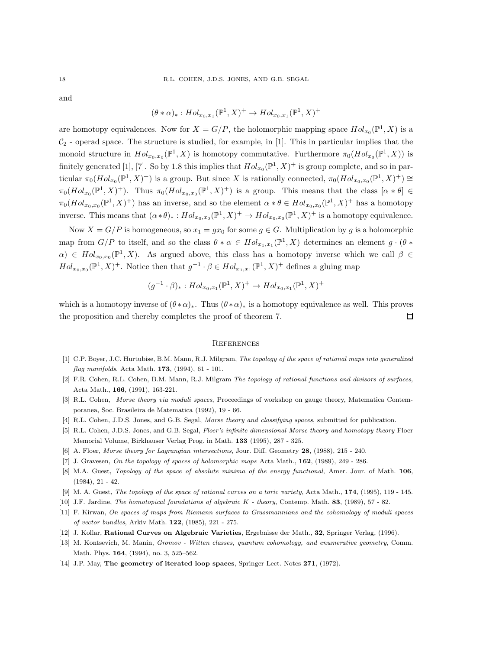and

$$
(\theta * \alpha)_*: Hol_{x_0,x_1}(\mathbb{P}^1, X)^+ \to Hol_{x_0,x_1}(\mathbb{P}^1, X)^+
$$

are homotopy equivalences. Now for  $X = G/P$ , the holomorphic mapping space  $Hol_{x_0}(\mathbb{P}^1, X)$  is a  $C_2$  - operad space. The structure is studied, for example, in [1]. This in particular implies that the monoid structure in  $Hol_{x_0,x_0}(\mathbb{P}^1,X)$  is homotopy commutative. Furthermore  $\pi_0(Hol_{x_0}(\mathbb{P}^1,X))$  is finitely generated [1], [7]. So by 1.8 this implies that  $Hol_{x_0}(\mathbb{P}^1, X)^+$  is group complete, and so in particular  $\pi_0(Hol_{x_0}(\mathbb{P}^1, X)^+)$  is a group. But since X is rationally connected,  $\pi_0(Hol_{x_0,x_0}(\mathbb{P}^1, X)^+) \cong$  $\pi_0(Hol_{x_0}(\mathbb{P}^1, X)^+)$ . Thus  $\pi_0(Hol_{x_0,x_0}(\mathbb{P}^1, X)^+)$  is a group. This means that the class  $[\alpha * \theta] \in$  $\pi_0(Hol_{x_0,x_0}(\mathbb{P}^1,X)^+)$  has an inverse, and so the element  $\alpha * \theta \in Hol_{x_0,x_0}(\mathbb{P}^1,X)^+$  has a homotopy inverse. This means that  $(\alpha * \theta)_*: Hol_{x_0,x_0}(\mathbb{P}^1, X)^+ \to Hol_{x_0,x_0}(\mathbb{P}^1, X)^+$  is a homotopy equivalence.

Now  $X = G/P$  is homogeneous, so  $x_1 = gx_0$  for some  $g \in G$ . Multiplication by g is a holomorphic map from  $G/P$  to itself, and so the class  $\theta * \alpha \in Hol_{x_1,x_1}(\mathbb{P}^1,X)$  determines an element  $g \cdot (\theta *$  $\alpha$ )  $\in Hol_{x_0,x_0}(\mathbb{P}^1,X)$ . As argued above, this class has a homotopy inverse which we call  $\beta \in$  $Hol_{x_0,x_0}(\mathbb{P}^1, X)^+$ . Notice then that  $g^{-1} \cdot \beta \in Hol_{x_1,x_1}(\mathbb{P}^1, X)^+$  defines a gluing map

$$
(g^{-1} \cdot \beta)_* : Hol_{x_0, x_1}(\mathbb{P}^1, X)^+ \to Hol_{x_0, x_1}(\mathbb{P}^1, X)^+
$$

which is a homotopy inverse of  $(\theta * \alpha)_*$ . Thus  $(\theta * \alpha)_*$  is a homotopy equivalence as well. This proves the proposition and thereby completes the proof of theorem 7. П

#### **REFERENCES**

- [1] C.P. Boyer, J.C. Hurtubise, B.M. Mann, R.J. Milgram, The topology of the space of rational maps into generalized flag manifolds, Acta Math. 173, (1994), 61 - 101.
- [2] F.R. Cohen, R.L. Cohen, B.M. Mann, R.J. Milgram The topology of rational functions and divisors of surfaces, Acta Math., 166, (1991), 163-221.
- [3] R.L. Cohen, Morse theory via moduli spaces, Proceedings of workshop on gauge theory, Matematica Contemporanea, Soc. Brasileira de Matematica (1992), 19 - 66.
- [4] R.L. Cohen, J.D.S. Jones, and G.B. Segal, Morse theory and classifying spaces, submitted for publication.
- [5] R.L. Cohen, J.D.S. Jones, and G.B. Segal, Floer's infinite dimensional Morse theory and homotopy theory Floer Memorial Volume, Birkhauser Verlag Prog. in Math. 133 (1995), 287 - 325.
- [6] A. Floer, Morse theory for Lagrangian intersections, Jour. Diff. Geometry 28, (1988), 215 240.
- [7] J. Gravesen, On the topology of spaces of holomorphic maps Acta Math., 162, (1989), 249 286.
- [8] M.A. Guest, Topology of the space of absolute minima of the energy functional, Amer. Jour. of Math. 106, (1984), 21 - 42.
- [9] M. A. Guest, The topology of the space of rational curves on a toric variety, Acta Math., 174, (1995), 119 145.
- [10] J.F. Jardine, The homotopical foundations of algebraic K theory, Contemp. Math. 83, (1989), 57 82.
- [11] F. Kirwan, On spaces of maps from Riemann surfaces to Grassmannians and the cohomology of moduli spaces of vector bundles, Arkiv Math. 122, (1985), 221 - 275.
- [12] J. Kollar, Rational Curves on Algebraic Varieties, Ergebnisse der Math., 32, Springer Verlag, (1996).
- [13] M. Kontsevich, M. Manin, Gromov Witten classes, quantum cohomology, and enumerative geometry, Comm. Math. Phys. 164, (1994), no. 3, 525–562.
- [14] J.P. May, The geometry of iterated loop spaces, Springer Lect. Notes 271, (1972).